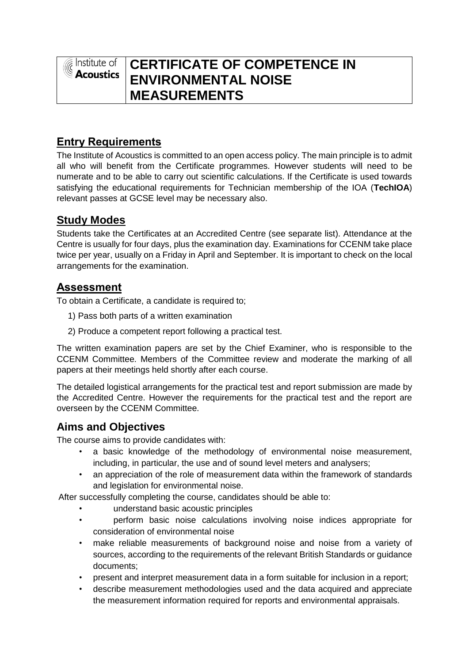$\widehat{\varepsilon}$  Institute of **Acoustics** 

# **CERTIFICATE OF COMPETENCE IN ENVIRONMENTAL NOISE MEASUREMENTS**

## **Entry Requirements**

The Institute of Acoustics is committed to an open access policy. The main principle is to admit all who will benefit from the Certificate programmes. However students will need to be numerate and to be able to carry out scientific calculations. If the Certificate is used towards satisfying the educational requirements for Technician membership of the IOA (**TechIOA**) relevant passes at GCSE level may be necessary also.

### **Study Modes**

Students take the Certificates at an Accredited Centre (see separate list). Attendance at the Centre is usually for four days, plus the examination day. Examinations for CCENM take place twice per year, usually on a Friday in April and September. It is important to check on the local arrangements for the examination.

### **Assessment**

To obtain a Certificate, a candidate is required to;

- 1) Pass both parts of a written examination
- 2) Produce a competent report following a practical test.

The written examination papers are set by the Chief Examiner, who is responsible to the CCENM Committee. Members of the Committee review and moderate the marking of all papers at their meetings held shortly after each course.

The detailed logistical arrangements for the practical test and report submission are made by the Accredited Centre. However the requirements for the practical test and the report are overseen by the CCENM Committee.

### **Aims and Objectives**

The course aims to provide candidates with:

- a basic knowledge of the methodology of environmental noise measurement, including, in particular, the use and of sound level meters and analysers;
- an appreciation of the role of measurement data within the framework of standards and legislation for environmental noise.

After successfully completing the course, candidates should be able to:

- understand basic acoustic principles
- perform basic noise calculations involving noise indices appropriate for consideration of environmental noise
- make reliable measurements of background noise and noise from a variety of sources, according to the requirements of the relevant British Standards or guidance documents;
- present and interpret measurement data in a form suitable for inclusion in a report;
- describe measurement methodologies used and the data acquired and appreciate the measurement information required for reports and environmental appraisals.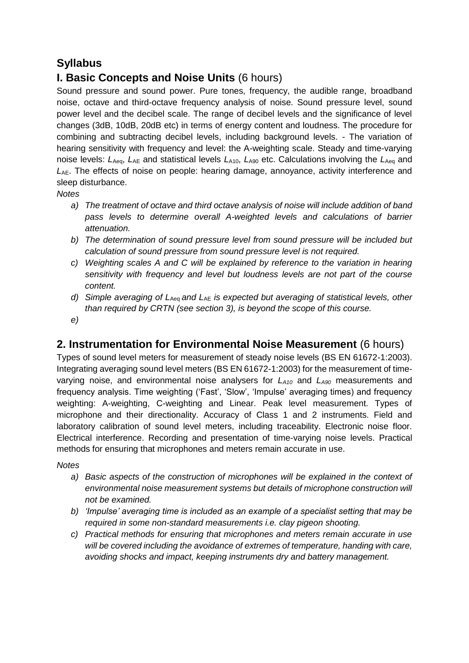## **Syllabus**

## **I. Basic Concepts and Noise Units** (6 hours)

Sound pressure and sound power. Pure tones, frequency, the audible range, broadband noise, octave and third-octave frequency analysis of noise. Sound pressure level, sound power level and the decibel scale. The range of decibel levels and the significance of level changes (3dB, 10dB, 20dB etc) in terms of energy content and loudness. The procedure for combining and subtracting decibel levels, including background levels. - The variation of hearing sensitivity with frequency and level: the A-weighting scale. Steady and time-varying noise levels:  $L_{Aeq}$ ,  $L_{AE}$  and statistical levels  $L_{A10}$ ,  $L_{A90}$  etc. Calculations involving the  $L_{Aeq}$  and *L*AE. The effects of noise on people: hearing damage, annoyance, activity interference and sleep disturbance.

#### *Notes*

- *a) The treatment of octave and third octave analysis of noise will include addition of band pass levels to determine overall A-weighted levels and calculations of barrier attenuation.*
- *b) The determination of sound pressure level from sound pressure will be included but calculation of sound pressure from sound pressure level is not required.*
- *c) Weighting scales A and C will be explained by reference to the variation in hearing sensitivity with frequency and level but loudness levels are not part of the course content.*
- *d)* Simple averaging of L<sub>Aeg</sub> and L<sub>AE</sub> is expected but averaging of statistical levels, other *than required by CRTN (see section 3), is beyond the scope of this course.*
- *e)*

### **2. Instrumentation for Environmental Noise Measurement** (6 hours)

Types of sound level meters for measurement of steady noise levels (BS EN 61672-1:2003). Integrating averaging sound level meters (BS EN 61672-1:2003) for the measurement of timevarying noise, and environmental noise analysers for *LA10* and *LA90* measurements and frequency analysis. Time weighting ('Fast', 'Slow', 'Impulse' averaging times) and frequency weighting: A-weighting, C-weighting and Linear. Peak level measurement. Types of microphone and their directionality. Accuracy of Class 1 and 2 instruments. Field and laboratory calibration of sound level meters, including traceability. Electronic noise floor. Electrical interference. Recording and presentation of time-varying noise levels. Practical methods for ensuring that microphones and meters remain accurate in use.

#### *Notes*

- *a) Basic aspects of the construction of microphones will be explained in the context of environmental noise measurement systems but details of microphone construction will not be examined.*
- *b) 'Impulse' averaging time is included as an example of a specialist setting that may be required in some non-standard measurements i.e. clay pigeon shooting.*
- *c) Practical methods for ensuring that microphones and meters remain accurate in use will be covered including the avoidance of extremes of temperature, handing with care, avoiding shocks and impact, keeping instruments dry and battery management.*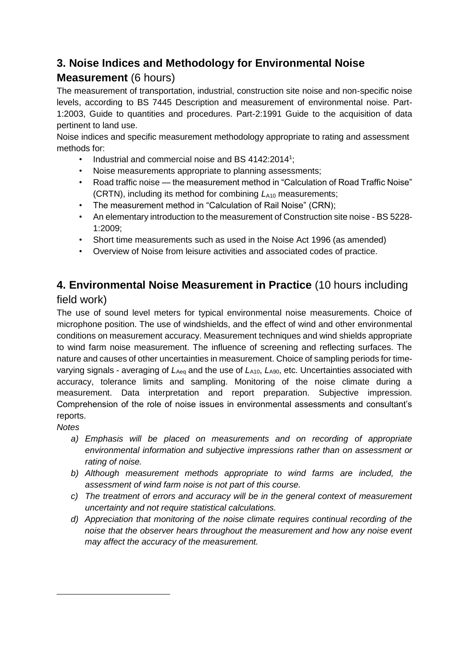## **3. Noise Indices and Methodology for Environmental Noise**

## **Measurement** (6 hours)

The measurement of transportation, industrial, construction site noise and non-specific noise levels, according to BS 7445 Description and measurement of environmental noise. Part-1:2003, Guide to quantities and procedures. Part-2:1991 Guide to the acquisition of data pertinent to land use.

Noise indices and specific measurement methodology appropriate to rating and assessment methods for:

- Industrial and commercial noise and BS 4142:2014<sup>1</sup>;
- Noise measurements appropriate to planning assessments;
- Road traffic noise the measurement method in "Calculation of Road Traffic Noise" (CRTN), including its method for combining  $L_{A10}$  measurements;
- The measurement method in "Calculation of Rail Noise" (CRN);
- An elementary introduction to the measurement of Construction site noise BS 5228- 1:2009;
- Short time measurements such as used in the Noise Act 1996 (as amended)
- Overview of Noise from leisure activities and associated codes of practice.

## **4. Environmental Noise Measurement in Practice** (10 hours including

### field work)

The use of sound level meters for typical environmental noise measurements. Choice of microphone position. The use of windshields, and the effect of wind and other environmental conditions on measurement accuracy. Measurement techniques and wind shields appropriate to wind farm noise measurement. The influence of screening and reflecting surfaces. The nature and causes of other uncertainties in measurement. Choice of sampling periods for timevarying signals - averaging of  $L_{\text{Aea}}$  and the use of  $L_{\text{A10}}$ ,  $L_{\text{A90}}$ , etc. Uncertainties associated with accuracy, tolerance limits and sampling. Monitoring of the noise climate during a measurement. Data interpretation and report preparation. Subjective impression. Comprehension of the role of noise issues in environmental assessments and consultant's reports.

*Notes*

 $\overline{a}$ 

- *a) Emphasis will be placed on measurements and on recording of appropriate environmental information and subjective impressions rather than on assessment or rating of noise.*
- *b) Although measurement methods appropriate to wind farms are included, the assessment of wind farm noise is not part of this course.*
- *c) The treatment of errors and accuracy will be in the general context of measurement uncertainty and not require statistical calculations.*
- *d) Appreciation that monitoring of the noise climate requires continual recording of the noise that the observer hears throughout the measurement and how any noise event may affect the accuracy of the measurement.*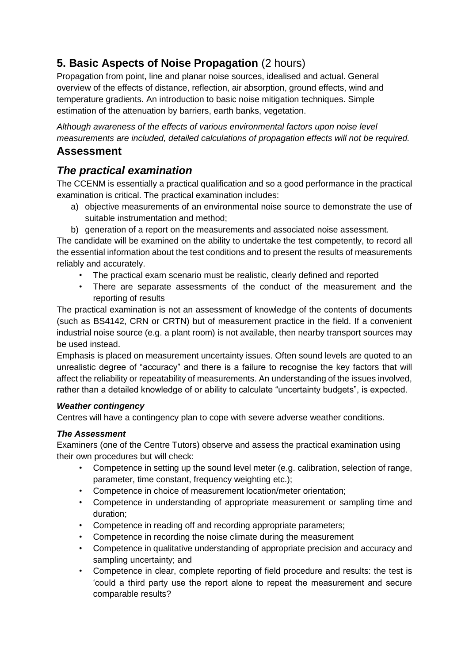## **5. Basic Aspects of Noise Propagation** (2 hours)

Propagation from point, line and planar noise sources, idealised and actual. General overview of the effects of distance, reflection, air absorption, ground effects, wind and temperature gradients. An introduction to basic noise mitigation techniques. Simple estimation of the attenuation by barriers, earth banks, vegetation.

*Although awareness of the effects of various environmental factors upon noise level measurements are included, detailed calculations of propagation effects will not be required.*

### **Assessment**

## *The practical examination*

The CCENM is essentially a practical qualification and so a good performance in the practical examination is critical. The practical examination includes:

- a) objective measurements of an environmental noise source to demonstrate the use of suitable instrumentation and method;
- b) generation of a report on the measurements and associated noise assessment.

The candidate will be examined on the ability to undertake the test competently, to record all the essential information about the test conditions and to present the results of measurements reliably and accurately.

- The practical exam scenario must be realistic, clearly defined and reported
- There are separate assessments of the conduct of the measurement and the reporting of results

The practical examination is not an assessment of knowledge of the contents of documents (such as BS4142, CRN or CRTN) but of measurement practice in the field. If a convenient industrial noise source (e.g. a plant room) is not available, then nearby transport sources may be used instead.

Emphasis is placed on measurement uncertainty issues. Often sound levels are quoted to an unrealistic degree of "accuracy" and there is a failure to recognise the key factors that will affect the reliability or repeatability of measurements. An understanding of the issues involved, rather than a detailed knowledge of or ability to calculate "uncertainty budgets", is expected.

#### *Weather contingency*

Centres will have a contingency plan to cope with severe adverse weather conditions.

#### *The Assessment*

Examiners (one of the Centre Tutors) observe and assess the practical examination using their own procedures but will check:

- Competence in setting up the sound level meter (e.g. calibration, selection of range, parameter, time constant, frequency weighting etc.);
- Competence in choice of measurement location/meter orientation;
- Competence in understanding of appropriate measurement or sampling time and duration;
- Competence in reading off and recording appropriate parameters;
- Competence in recording the noise climate during the measurement
- Competence in qualitative understanding of appropriate precision and accuracy and sampling uncertainty; and
- Competence in clear, complete reporting of field procedure and results: the test is 'could a third party use the report alone to repeat the measurement and secure comparable results?